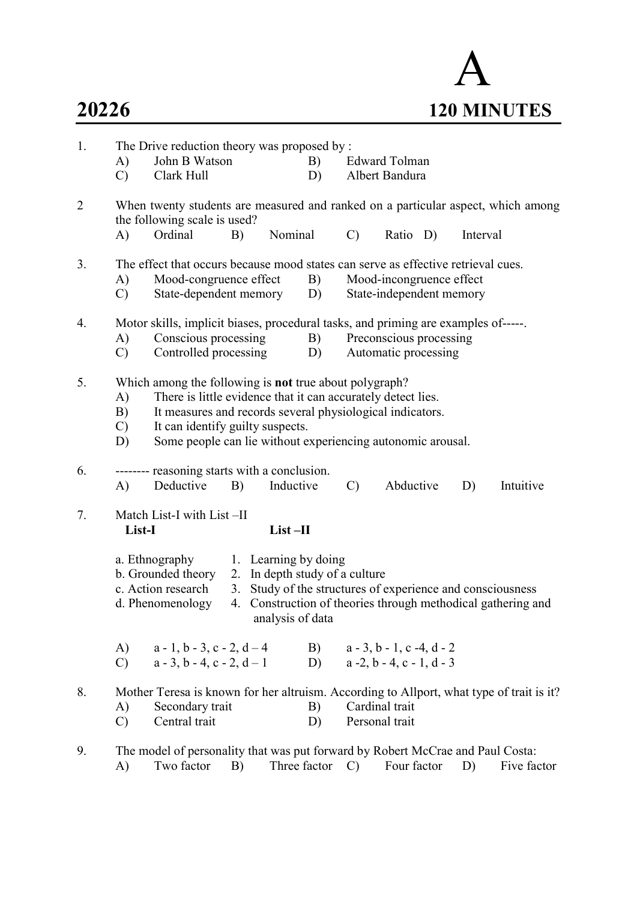

| 1.             | A)<br>$\mathcal{C}$             | The Drive reduction theory was proposed by :<br>John B Watson<br>Clark Hull                                                                                                                                                                                                                   |    |                  | B)<br>D)                                               |                 | <b>Edward Tolman</b><br>Albert Bandura               |          |                                                                                                                         |
|----------------|---------------------------------|-----------------------------------------------------------------------------------------------------------------------------------------------------------------------------------------------------------------------------------------------------------------------------------------------|----|------------------|--------------------------------------------------------|-----------------|------------------------------------------------------|----------|-------------------------------------------------------------------------------------------------------------------------|
| $\overline{2}$ | A)                              | When twenty students are measured and ranked on a particular aspect, which among<br>the following scale is used?<br>Ordinal                                                                                                                                                                   | B) | Nominal          |                                                        | $\mathcal{C}$   | Ratio D)                                             | Interval |                                                                                                                         |
|                |                                 |                                                                                                                                                                                                                                                                                               |    |                  |                                                        |                 |                                                      |          |                                                                                                                         |
| 3.             |                                 | The effect that occurs because mood states can serve as effective retrieval cues.                                                                                                                                                                                                             |    |                  |                                                        |                 |                                                      |          |                                                                                                                         |
|                | A)<br>$\mathcal{C}$             | Mood-congruence effect<br>State-dependent memory                                                                                                                                                                                                                                              |    |                  | B)<br>D)                                               |                 | Mood-incongruence effect<br>State-independent memory |          |                                                                                                                         |
| 4.             |                                 | Motor skills, implicit biases, procedural tasks, and priming are examples of-----.                                                                                                                                                                                                            |    |                  |                                                        |                 |                                                      |          |                                                                                                                         |
|                | A)                              | Conscious processing                                                                                                                                                                                                                                                                          |    |                  | B)                                                     |                 | Preconscious processing                              |          |                                                                                                                         |
|                | $\mathcal{C}$                   | Controlled processing                                                                                                                                                                                                                                                                         |    |                  | D)                                                     |                 | Automatic processing                                 |          |                                                                                                                         |
| 5.             | A)<br>B)<br>$\mathcal{C}$<br>D) | Which among the following is <b>not</b> true about polygraph?<br>There is little evidence that it can accurately detect lies.<br>It measures and records several physiological indicators.<br>It can identify guilty suspects.<br>Some people can lie without experiencing autonomic arousal. |    |                  |                                                        |                 |                                                      |          |                                                                                                                         |
| 6.             | A)                              | -------- reasoning starts with a conclusion.<br>Deductive                                                                                                                                                                                                                                     | B) | Inductive        |                                                        | $\mathcal{C}$   | Abductive                                            | D)       | Intuitive                                                                                                               |
| 7.             | List-I                          | Match List-I with List -II                                                                                                                                                                                                                                                                    |    | $List$ -II       |                                                        |                 |                                                      |          |                                                                                                                         |
|                |                                 | a. Ethnography<br>b. Grounded theory<br>c. Action research<br>d. Phenomenology                                                                                                                                                                                                                | 3. | analysis of data | 1. Learning by doing<br>2. In depth study of a culture |                 |                                                      |          | Study of the structures of experience and consciousness<br>4. Construction of theories through methodical gathering and |
|                | A)<br>$\mathbf{C}$ )            | $a-1, b-3, c-2, d-4$<br>$a - 3$ , $b - 4$ , $c - 2$ , $d - 1$                                                                                                                                                                                                                                 |    |                  |                                                        |                 | B) $a-3, b-1, c-4, d-2$<br>D) $a-2, b-4, c-1, d-3$   |          |                                                                                                                         |
| 8.             | A)<br>$\mathcal{C}$             | Mother Teresa is known for her altruism. According to Allport, what type of trait is it?<br>Secondary trait<br>Central trait                                                                                                                                                                  |    |                  | B)<br>D)                                               |                 | Cardinal trait<br>Personal trait                     |          |                                                                                                                         |
| 9.             | A)                              | The model of personality that was put forward by Robert McCrae and Paul Costa:<br>Two factor                                                                                                                                                                                                  | B) |                  | Three factor                                           | $\mathcal{C}$ ) | Four factor                                          | D)       | Five factor                                                                                                             |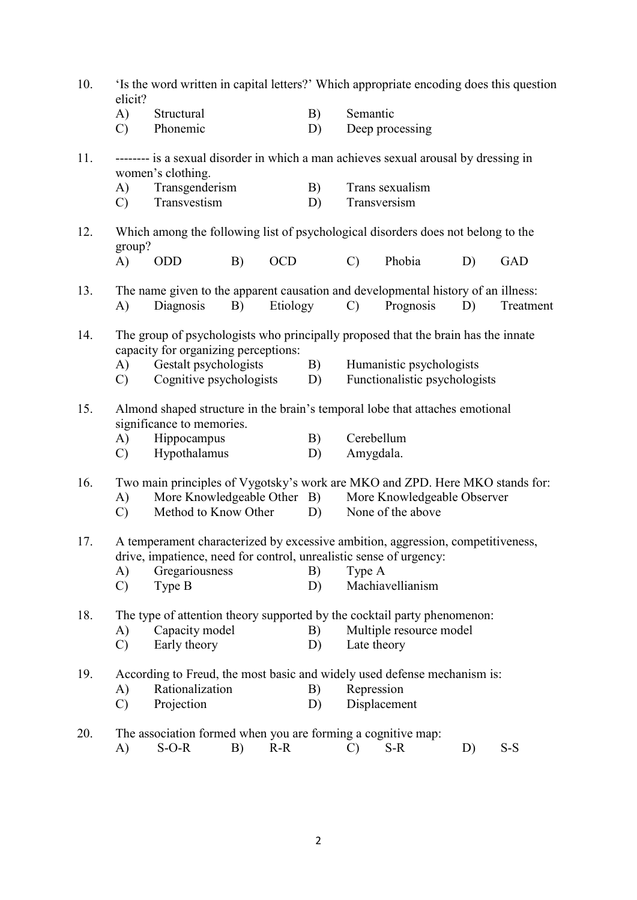| 10. | elicit?             | 'Is the word written in capital letters?' Which appropriate encoding does this question                                                               |    |            |    |               |                                                  |    |            |  |
|-----|---------------------|-------------------------------------------------------------------------------------------------------------------------------------------------------|----|------------|----|---------------|--------------------------------------------------|----|------------|--|
|     | A)                  | Structural                                                                                                                                            |    |            | B) | Semantic      |                                                  |    |            |  |
|     | $\mathbf{C}$        | Phonemic                                                                                                                                              |    |            | D) |               | Deep processing                                  |    |            |  |
| 11. |                     | -------- is a sexual disorder in which a man achieves sexual arousal by dressing in<br>women's clothing.                                              |    |            |    |               |                                                  |    |            |  |
|     | A)                  | Transgenderism                                                                                                                                        |    |            | B) |               | Trans sexualism                                  |    |            |  |
|     | $\mathbf{C}$        | Transvestism                                                                                                                                          |    |            | D) |               | Transversism                                     |    |            |  |
| 12. | group?              | Which among the following list of psychological disorders does not belong to the                                                                      |    |            |    |               |                                                  |    |            |  |
|     | A)                  | <b>ODD</b>                                                                                                                                            | B) | <b>OCD</b> |    | $\mathcal{C}$ | Phobia                                           | D) | <b>GAD</b> |  |
| 13. |                     | The name given to the apparent causation and developmental history of an illness:                                                                     |    |            |    |               |                                                  |    |            |  |
|     | $\mathbf{A}$        | Diagnosis                                                                                                                                             | B) | Etiology   |    | $\mathcal{C}$ | Prognosis                                        | D) | Treatment  |  |
| 14. |                     | The group of psychologists who principally proposed that the brain has the innate                                                                     |    |            |    |               |                                                  |    |            |  |
|     | A)                  | capacity for organizing perceptions:<br>Gestalt psychologists                                                                                         |    |            | B) |               | Humanistic psychologists                         |    |            |  |
|     | $\mathbf{C}$        | Cognitive psychologists                                                                                                                               |    |            | D) |               | Functionalistic psychologists                    |    |            |  |
| 15. |                     | Almond shaped structure in the brain's temporal lobe that attaches emotional<br>significance to memories.                                             |    |            |    |               |                                                  |    |            |  |
|     | A)                  | Hippocampus                                                                                                                                           |    |            | B) |               | Cerebellum                                       |    |            |  |
|     | $\mathcal{C}$       | Hypothalamus                                                                                                                                          |    |            | D) | Amygdala.     |                                                  |    |            |  |
| 16. |                     | Two main principles of Vygotsky's work are MKO and ZPD. Here MKO stands for:                                                                          |    |            |    |               |                                                  |    |            |  |
|     | A)<br>$\mathcal{C}$ | More Knowledgeable Other B)<br>Method to Know Other                                                                                                   |    |            | D) |               | More Knowledgeable Observer<br>None of the above |    |            |  |
|     |                     |                                                                                                                                                       |    |            |    |               |                                                  |    |            |  |
| 17. |                     | A temperament characterized by excessive ambition, aggression, competitiveness,<br>drive, impatience, need for control, unrealistic sense of urgency: |    |            |    |               |                                                  |    |            |  |
|     | A)                  | Gregariousness                                                                                                                                        |    |            | B) | Type A        |                                                  |    |            |  |
|     | $\mathcal{C}$       | Type B                                                                                                                                                |    |            | D) |               | Machiavellianism                                 |    |            |  |
| 18. |                     | The type of attention theory supported by the cocktail party phenomenon:                                                                              |    |            |    |               |                                                  |    |            |  |
|     | A)                  | Capacity model                                                                                                                                        |    |            | B) |               | Multiple resource model                          |    |            |  |
|     | $\mathcal{C}$       | Early theory                                                                                                                                          |    |            | D) | Late theory   |                                                  |    |            |  |
| 19. |                     | According to Freud, the most basic and widely used defense mechanism is:                                                                              |    |            |    |               |                                                  |    |            |  |
|     | A)                  | Rationalization                                                                                                                                       |    |            | B) | Repression    |                                                  |    |            |  |
|     | $\mathcal{C}$       | Projection                                                                                                                                            |    |            | D) |               | Displacement                                     |    |            |  |
| 20. |                     | The association formed when you are forming a cognitive map:                                                                                          |    |            |    |               |                                                  |    |            |  |
|     | A)                  | $S-O-R$                                                                                                                                               | B) | $R-R$      |    | $\mathcal{C}$ | $S-R$                                            | D) | $S-S$      |  |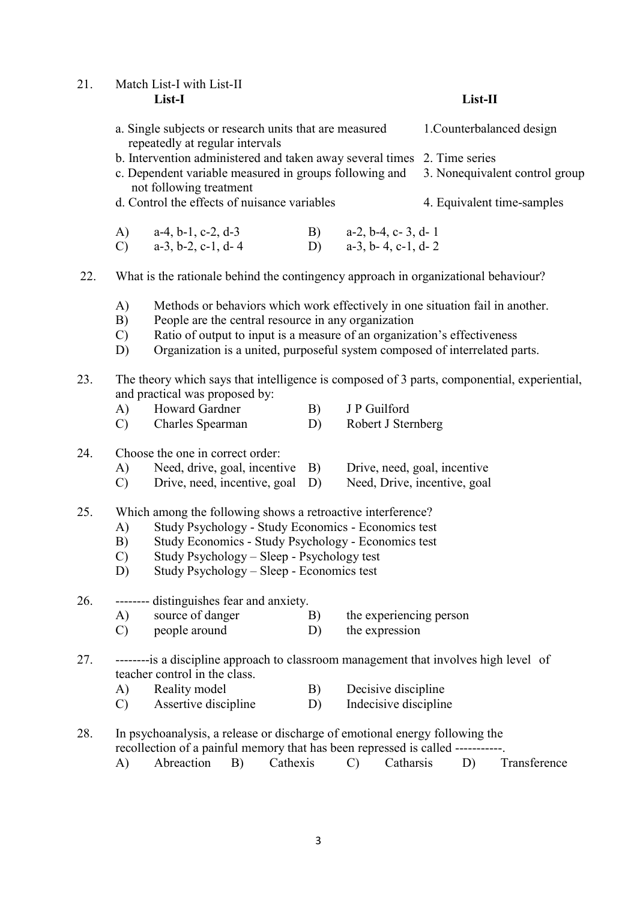21. Match List-I with List-II List-I List-II

| a. Single subjects or research units that are measured                   | 1. Counterbalanced design |
|--------------------------------------------------------------------------|---------------------------|
| repeatedly at regular intervals                                          |                           |
| b. Intervention administered and taken away several times 2. Time series |                           |

- c. Dependent variable measured in groups following and 3. Nonequivalent control group not following treatment
- d. Control the effects of nuisance variables 4. Equivalent time-samples
- A) a-4, b-1, c-2, d-3 B) a-2, b-4, c- 3, d- 1 C)  $a-3, b-2, c-1, d-4$  D)  $a-3, b-4, c-1, d-2$

22. What is the rationale behind the contingency approach in organizational behaviour?

- A) Methods or behaviors which work effectively in one situation fail in another.
- B) People are the central resource in any organization
- C) Ratio of output to input is a measure of an organization's effectiveness
- D) Organization is a united, purposeful system composed of interrelated parts.
- 23. The theory which says that intelligence is composed of 3 parts, componential, experiential, and practical was proposed by:
	- A) Howard Gardner B) J P Guilford
	- C) Charles Spearman D) Robert J Sternberg
- 24. Choose the one in correct order:
	- A) Need, drive, goal, incentive B) Drive, need, goal, incentive
	- C) Drive, need, incentive, goal D) Need, Drive, incentive, goal
- 25. Which among the following shows a retroactive interference?
	- A) Study Psychology Study Economics Economics test
	- B) Study Economics Study Psychology Economics test
	- C) Study Psychology Sleep Psychology test
	- D) Study Psychology Sleep Economics test

26. -------- distinguishes fear and anxiety.

- A) source of danger B) the experiencing person
- C) people around D) the expression
- 27. --------is a discipline approach to classroom management that involves high level of teacher control in the class.
	- A) Reality model B) Decisive discipline
	- C) Assertive discipline D) Indecisive discipline
- 28. In psychoanalysis, a release or discharge of emotional energy following the recollection of a painful memory that has been repressed is called -----------. A) Abreaction B) Cathexis C) Catharsis D) Transference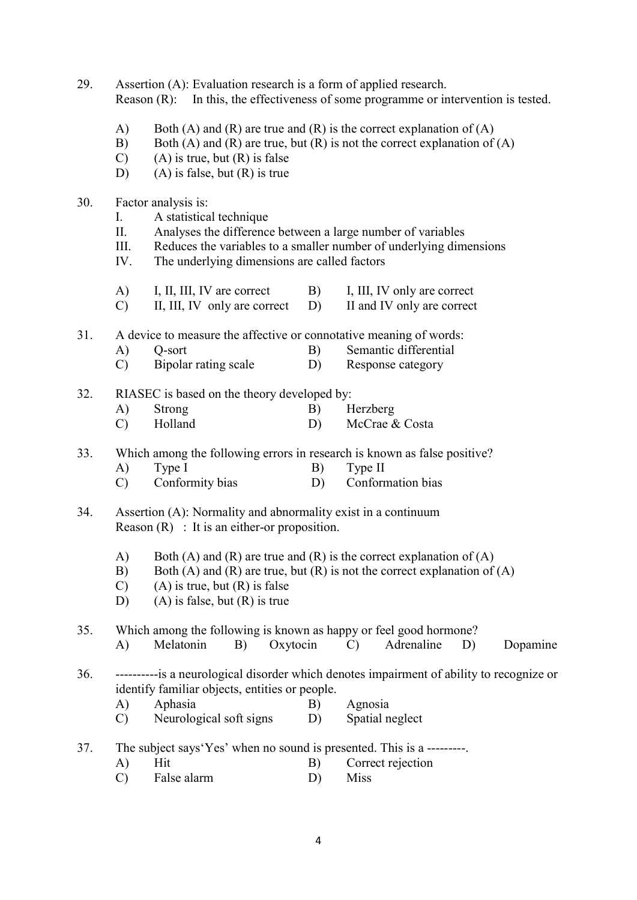| 29. |                                 | Assertion (A): Evaluation research is a form of applied research.<br>Reason (R): In this, the effectiveness of some programme or intervention is tested.                                                                            |          |                                                                                                                                                 |  |  |  |  |  |
|-----|---------------------------------|-------------------------------------------------------------------------------------------------------------------------------------------------------------------------------------------------------------------------------------|----------|-------------------------------------------------------------------------------------------------------------------------------------------------|--|--|--|--|--|
|     | A)<br>B)<br>$\mathcal{C}$<br>D) | Both (A) and (R) are true and (R) is the correct explanation of (A)<br>Both (A) and (R) are true, but (R) is not the correct explanation of (A)<br>$(A)$ is true, but $(R)$ is false<br>$(A)$ is false, but $(R)$ is true           |          |                                                                                                                                                 |  |  |  |  |  |
| 30. | Ι.<br>II.<br>III.<br>IV.        | Factor analysis is:<br>A statistical technique<br>Analyses the difference between a large number of variables<br>Reduces the variables to a smaller number of underlying dimensions<br>The underlying dimensions are called factors |          |                                                                                                                                                 |  |  |  |  |  |
|     | A)<br>$\mathcal{C}$             | I, II, III, IV are correct<br>II, III, IV only are correct                                                                                                                                                                          | B)<br>D) | I, III, IV only are correct<br>II and IV only are correct                                                                                       |  |  |  |  |  |
| 31. | A)<br>$\mathcal{C}$             | A device to measure the affective or connotative meaning of words:<br>Semantic differential<br>B)<br>Q-sort<br>Bipolar rating scale<br>D)<br>Response category                                                                      |          |                                                                                                                                                 |  |  |  |  |  |
| 32. | A)<br>$\mathcal{C}$             | RIASEC is based on the theory developed by:<br>Strong<br>Herzberg<br>B)<br>Holland<br>D)<br>McCrae & Costa                                                                                                                          |          |                                                                                                                                                 |  |  |  |  |  |
| 33. | A)<br>$\mathcal{C}$             | Type I<br>Conformity bias                                                                                                                                                                                                           | B)<br>D) | Which among the following errors in research is known as false positive?<br>Type II<br>Conformation bias                                        |  |  |  |  |  |
| 34. |                                 | Assertion (A): Normality and abnormality exist in a continuum<br>Reason $(R)$ : It is an either-or proposition.                                                                                                                     |          |                                                                                                                                                 |  |  |  |  |  |
|     | A)<br>B)<br>$\mathcal{C}$<br>D) | $(A)$ is true, but $(R)$ is false<br>$(A)$ is false, but $(R)$ is true                                                                                                                                                              |          | Both (A) and (R) are true and (R) is the correct explanation of (A)<br>Both (A) and (R) are true, but (R) is not the correct explanation of (A) |  |  |  |  |  |
| 35. | A)                              | Which among the following is known as happy or feel good hormone?<br>Melatonin<br>Oxytocin<br>B)                                                                                                                                    |          | Adrenaline<br>$\mathcal{C}$<br>D)<br>Dopamine                                                                                                   |  |  |  |  |  |
| 36. | A)<br>$\mathcal{C}$             | identify familiar objects, entities or people.<br>Aphasia<br>Neurological soft signs                                                                                                                                                | B)<br>D) | -----------is a neurological disorder which denotes impairment of ability to recognize or<br>Agnosia<br>Spatial neglect                         |  |  |  |  |  |
| 37. | A)<br>$\mathcal{C}$             | The subject says 'Yes' when no sound is presented. This is a ---------<br>Hit<br>Correct rejection<br>B)<br>False alarm<br><b>Miss</b><br>D)                                                                                        |          |                                                                                                                                                 |  |  |  |  |  |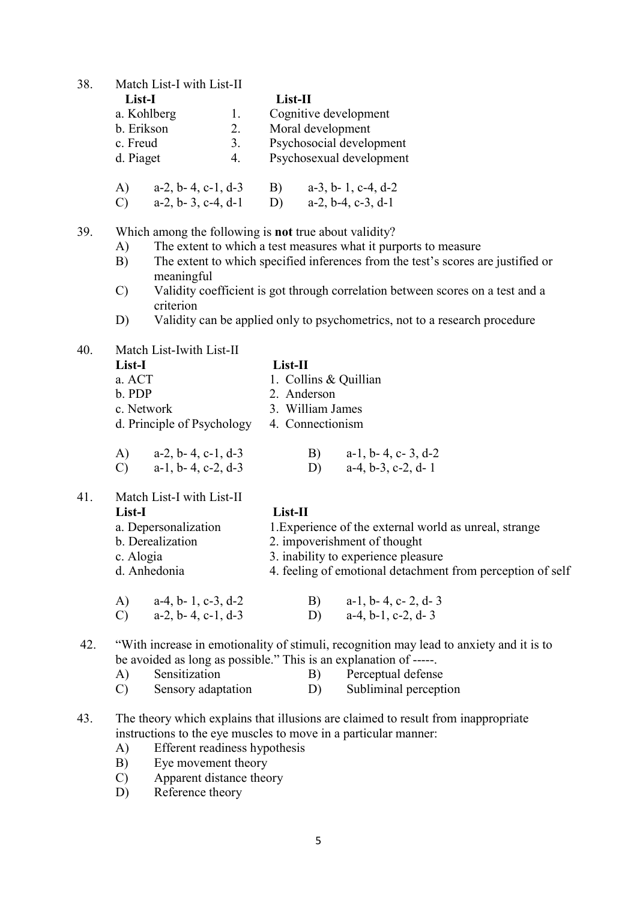38. Match List-I with List-II

| List-I    |                               |    | List-II |                               |
|-----------|-------------------------------|----|---------|-------------------------------|
|           | a. Kohlberg                   | 1. |         | Cognitive development         |
|           | b. Erikson                    | 2. |         | Moral development             |
| c. Freud  |                               | 3. |         | Psychosocial development      |
| d. Piaget |                               | 4. |         | Psychosexual development      |
| A)        | $a-2$ , $b-4$ , $c-1$ , $d-3$ |    | B)      | $a-3$ , $b-1$ , $c-4$ , $d-2$ |
|           | a-2, b-3, c-4, d-1            |    | D)      | a-2, b-4, c-3, d-1            |

39. Which among the following is not true about validity?

- A) The extent to which a test measures what it purports to measure
- B) The extent to which specified inferences from the test's scores are justified or meaningful
- C) Validity coefficient is got through correlation between scores on a test and a criterion
- D) Validity can be applied only to psychometrics, not to a research procedure

| 40. | Match List-Iwith List-II |
|-----|--------------------------|
|     |                          |

| List-I                              | List-II                             |  |  |  |  |
|-------------------------------------|-------------------------------------|--|--|--|--|
| a. ACT                              | 1. Collins & Quillian               |  |  |  |  |
| b. PDP                              | 2. Anderson<br>3. William James     |  |  |  |  |
| c. Network                          |                                     |  |  |  |  |
| d. Principle of Psychology          | 4. Connectionism                    |  |  |  |  |
| $a-2$ , $b-4$ , $c-1$ , $d-3$<br>A) | $a-1$ , $b-4$ , $c-3$ , $d-2$<br>B) |  |  |  |  |

C) a-1, b- 4, c-2, d-3 D) a-4, b-3, c-2, d- 1

41. Match List-I with List-II

### List-I List-II

| a. Depersonalization | 1. Experience of the external world as unreal, strange     |
|----------------------|------------------------------------------------------------|
| b. Derealization     | 2. impoverishment of thought                               |
| c. Alogia            | 3. inability to experience pleasure                        |
| d. Anhedonia         | 4. feeling of emotional detachment from perception of self |
|                      |                                                            |
|                      |                                                            |

 A) a-4, b- 1, c-3, d-2 B) a-1, b- 4, c- 2, d- 3 C)  $a-2, b-4, c-1, d-3$  D)  $a-4, b-1, c-2, d-3$ 

## 42. "With increase in emotionality of stimuli, recognition may lead to anxiety and it is to be avoided as long as possible." This is an explanation of -----.

- A) Sensitization B) Perceptual defense
- C) Sensory adaptation D) Subliminal perception

# 43. The theory which explains that illusions are claimed to result from inappropriate instructions to the eye muscles to move in a particular manner:

- A) Efferent readiness hypothesis
- B) Eye movement theory
- C) Apparent distance theory
- D) Reference theory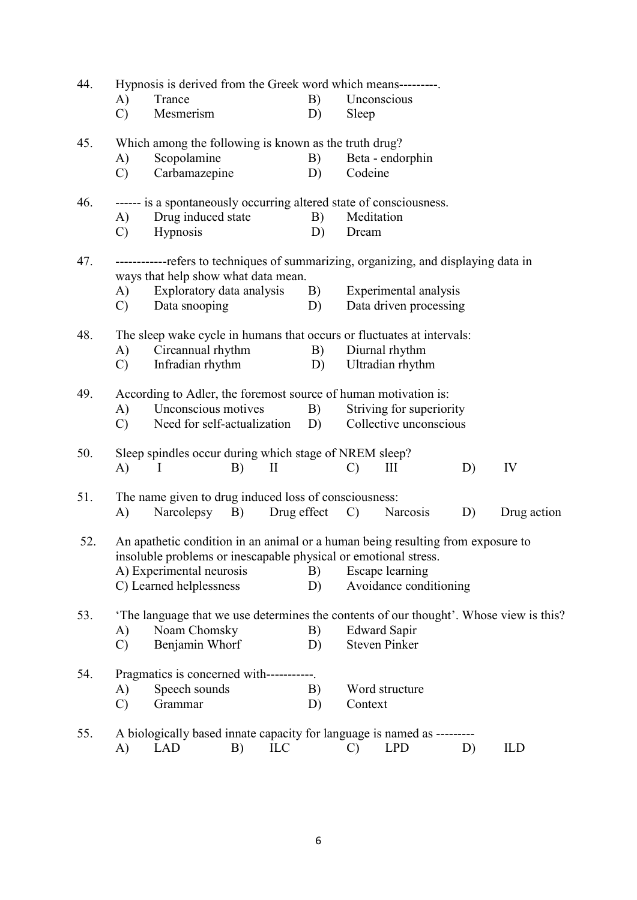| 44. | A)<br>$\mathcal{C}$ | Hypnosis is derived from the Greek word which means---------<br>Trance<br>Mesmerism                                                                                                                       |    |             | B)<br>D) | Sleep               | Unconscious                                        |    |                                                                                        |
|-----|---------------------|-----------------------------------------------------------------------------------------------------------------------------------------------------------------------------------------------------------|----|-------------|----------|---------------------|----------------------------------------------------|----|----------------------------------------------------------------------------------------|
| 45. | A)<br>$\mathcal{C}$ | Which among the following is known as the truth drug?<br>Scopolamine<br>Carbamazepine                                                                                                                     |    |             | B)<br>D) | Codeine             | Beta - endorphin                                   |    |                                                                                        |
| 46. | A)<br>$\mathcal{C}$ | ------ is a spontaneously occurring altered state of consciousness.<br>Drug induced state<br>Hypnosis                                                                                                     |    |             | B)<br>D) | Meditation<br>Dream |                                                    |    |                                                                                        |
| 47. |                     | ------------refers to techniques of summarizing, organizing, and displaying data in<br>ways that help show what data mean.                                                                                |    |             |          |                     |                                                    |    |                                                                                        |
|     | A)<br>$\mathcal{C}$ | Exploratory data analysis<br>Data snooping                                                                                                                                                                |    |             | B)<br>D) |                     | Experimental analysis<br>Data driven processing    |    |                                                                                        |
| 48. | A)<br>$\mathcal{C}$ | The sleep wake cycle in humans that occurs or fluctuates at intervals:<br>Circannual rhythm<br>Infradian rhythm                                                                                           |    |             | B)<br>D) |                     | Diurnal rhythm<br>Ultradian rhythm                 |    |                                                                                        |
| 49. | A)<br>$\mathcal{C}$ | According to Adler, the foremost source of human motivation is:<br>Unconscious motives<br>Need for self-actualization                                                                                     |    |             | B)<br>D) |                     | Striving for superiority<br>Collective unconscious |    |                                                                                        |
| 50. | A)                  | Sleep spindles occur during which stage of NREM sleep?<br>I                                                                                                                                               | B) | $\rm II$    |          | $\mathcal{C}$       | III                                                | D) | IV                                                                                     |
| 51. | A)                  | The name given to drug induced loss of consciousness:<br>Narcolepsy                                                                                                                                       | B) | Drug effect |          | $\mathcal{C}$       | <b>Narcosis</b>                                    | D) | Drug action                                                                            |
| 52. |                     | An apathetic condition in an animal or a human being resulting from exposure to<br>insoluble problems or inescapable physical or emotional stress.<br>A) Experimental neurosis<br>C) Learned helplessness |    |             | B)<br>D) |                     | <b>Escape</b> learning<br>Avoidance conditioning   |    |                                                                                        |
| 53. | A)<br>$\mathcal{C}$ | Noam Chomsky<br>Benjamin Whorf                                                                                                                                                                            |    |             | B)<br>D) |                     | <b>Edward Sapir</b><br><b>Steven Pinker</b>        |    | 'The language that we use determines the contents of our thought'. Whose view is this? |
| 54. | A)<br>$\mathcal{C}$ | Pragmatics is concerned with-----------.<br>Speech sounds<br>Grammar                                                                                                                                      |    |             | B)<br>D) | Context             | Word structure                                     |    |                                                                                        |
| 55. | A)                  | A biologically based innate capacity for language is named as --------<br><b>LAD</b>                                                                                                                      | B) | ILC         |          | $\mathcal{C}$       | <b>LPD</b>                                         | D) | <b>ILD</b>                                                                             |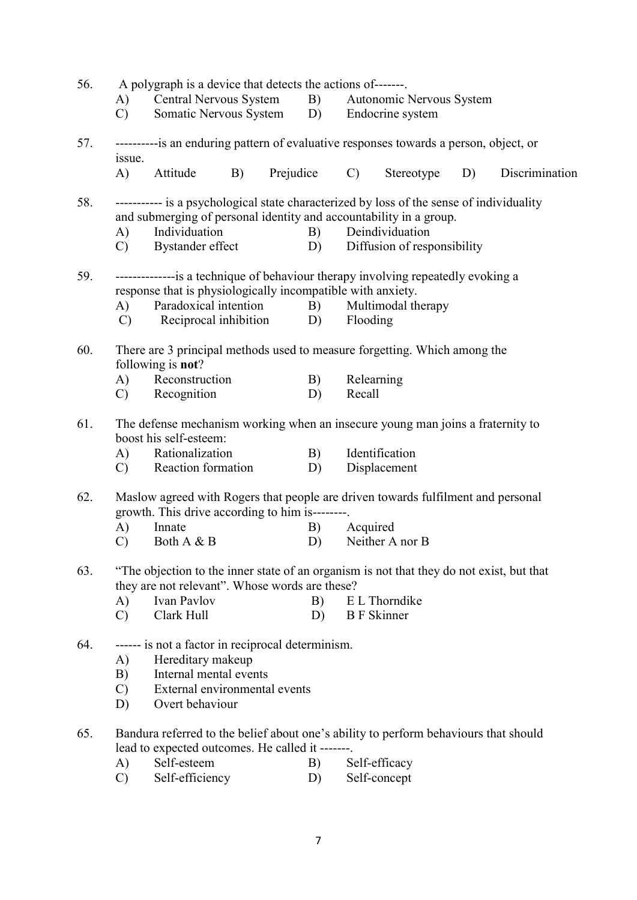| 56. | A)<br>$\mathbf{C}$ ) | A polygraph is a device that detects the actions of-------<br>Somatic Nervous System D) Endocrine system                                                                                           |    |              |                                                                                       | Central Nervous System B) Autonomic Nervous System |    |                |  |  |  |
|-----|----------------------|----------------------------------------------------------------------------------------------------------------------------------------------------------------------------------------------------|----|--------------|---------------------------------------------------------------------------------------|----------------------------------------------------|----|----------------|--|--|--|
| 57. | issue.               |                                                                                                                                                                                                    |    |              | ----------is an enduring pattern of evaluative responses towards a person, object, or |                                                    |    |                |  |  |  |
|     | A)                   | Attitude                                                                                                                                                                                           | B) | Prejudice C) |                                                                                       | Stereotype                                         | D) | Discrimination |  |  |  |
| 58. | A)<br>$\mathcal{C}$  | ---------- is a psychological state characterized by loss of the sense of individuality<br>and submerging of personal identity and accountability in a group.<br>Individuation<br>Bystander effect |    | B)<br>D)     |                                                                                       | Deindividuation<br>Diffusion of responsibility     |    |                |  |  |  |
| 59. |                      | --------------is a technique of behaviour therapy involving repeatedly evoking a                                                                                                                   |    |              |                                                                                       |                                                    |    |                |  |  |  |
|     |                      | response that is physiologically incompatible with anxiety.                                                                                                                                        |    |              |                                                                                       |                                                    |    |                |  |  |  |
|     | A)                   | Paradoxical intention B)                                                                                                                                                                           |    |              |                                                                                       | Multimodal therapy                                 |    |                |  |  |  |
|     | $\mathbf{C}$         | Reciprocal inhibition D)                                                                                                                                                                           |    |              | Flooding                                                                              |                                                    |    |                |  |  |  |
| 60. |                      | There are 3 principal methods used to measure forgetting. Which among the<br>following is not?                                                                                                     |    |              |                                                                                       |                                                    |    |                |  |  |  |
|     | A)                   | Reconstruction                                                                                                                                                                                     |    | B)           | Relearning                                                                            |                                                    |    |                |  |  |  |
|     |                      | C) Recognition                                                                                                                                                                                     |    | D)           | Recall                                                                                |                                                    |    |                |  |  |  |
| 61. |                      | The defense mechanism working when an insecure young man joins a fraternity to<br>boost his self-esteem:                                                                                           |    |              |                                                                                       |                                                    |    |                |  |  |  |
|     |                      | A) Rationalization                                                                                                                                                                                 |    | B)           |                                                                                       | Identification                                     |    |                |  |  |  |
|     |                      | C) Reaction formation                                                                                                                                                                              |    | D)           |                                                                                       | Displacement                                       |    |                |  |  |  |
| 62. |                      | Maslow agreed with Rogers that people are driven towards fulfilment and personal<br>growth. This drive according to him is--------.                                                                |    |              |                                                                                       |                                                    |    |                |  |  |  |
|     | A)                   | Innate                                                                                                                                                                                             |    | B)           | Acquired                                                                              |                                                    |    |                |  |  |  |
|     | $\mathcal{C}$        | Both A & B                                                                                                                                                                                         |    | D)           |                                                                                       | Neither A nor B                                    |    |                |  |  |  |
| 63. |                      | "The objection to the inner state of an organism is not that they do not exist, but that<br>they are not relevant". Whose words are these?                                                         |    |              |                                                                                       |                                                    |    |                |  |  |  |
|     | A)                   | Ivan Pavlov                                                                                                                                                                                        |    | B)           |                                                                                       | E L Thorndike                                      |    |                |  |  |  |
|     | $\mathbf{C}$         | Clark Hull                                                                                                                                                                                         |    | D)           | <b>B</b> F Skinner                                                                    |                                                    |    |                |  |  |  |
| 64. | A)<br>B)             | ------ is not a factor in reciprocal determinism.<br>Hereditary makeup<br>Internal mental events                                                                                                   |    |              |                                                                                       |                                                    |    |                |  |  |  |
|     | $\mathcal{C}$<br>D)  | External environmental events<br>Overt behaviour                                                                                                                                                   |    |              |                                                                                       |                                                    |    |                |  |  |  |
| 65. | A)                   | Bandura referred to the belief about one's ability to perform behaviours that should<br>lead to expected outcomes. He called it -------.<br>Self-esteem                                            |    | B)           |                                                                                       | Self-efficacy                                      |    |                |  |  |  |
|     | $\mathcal{C}$        | Self-efficiency                                                                                                                                                                                    |    | D)           |                                                                                       | Self-concept                                       |    |                |  |  |  |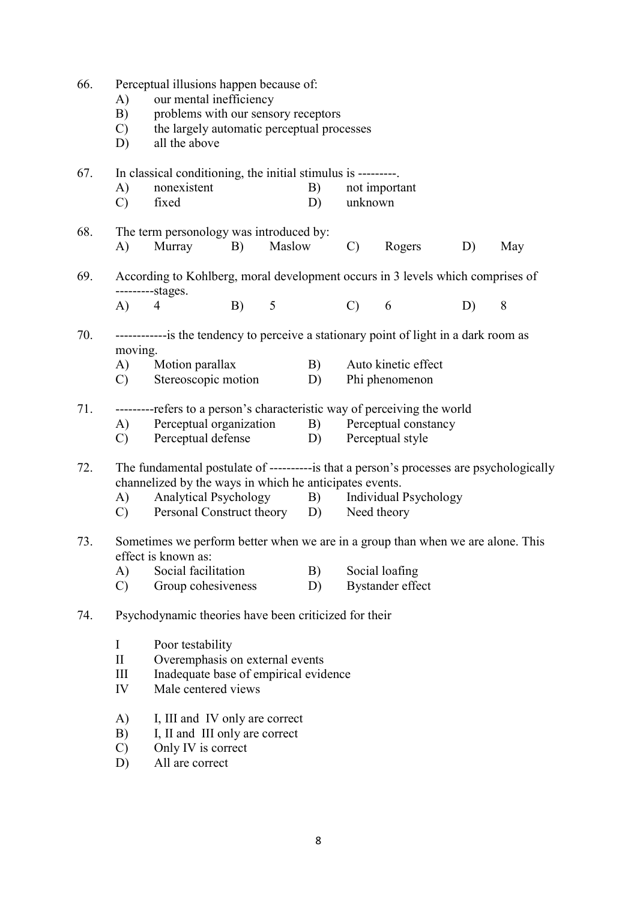| 66. | A)<br>B)<br>$\mathcal{C}$<br>D) | Perceptual illusions happen because of:<br>our mental inefficiency<br>problems with our sensory receptors<br>the largely automatic perceptual processes<br>all the above |         |            |                 |                              |    |     |
|-----|---------------------------------|--------------------------------------------------------------------------------------------------------------------------------------------------------------------------|---------|------------|-----------------|------------------------------|----|-----|
| 67. | A)<br>$\mathcal{C}$             | In classical conditioning, the initial stimulus is ---------<br>nonexistent<br>fixed                                                                                     |         | B)<br>D)   | unknown         | not important                |    |     |
| 68. | A)                              | The term personology was introduced by:<br>Murray                                                                                                                        | B)      | Maslow     | $\mathcal{C}$ ) | Rogers                       | D) | May |
| 69. |                                 | According to Kohlberg, moral development occurs in 3 levels which comprises of<br>----------stages.                                                                      |         |            |                 |                              |    |     |
|     | (A)                             | 4                                                                                                                                                                        | B)<br>5 |            | $\mathcal{C}$ ) | 6                            | D) | 8   |
| 70. | moving.                         | -------------is the tendency to perceive a stationary point of light in a dark room as                                                                                   |         |            |                 |                              |    |     |
|     | (A)                             | Motion parallax                                                                                                                                                          |         | B)         |                 | Auto kinetic effect          |    |     |
|     | $\mathcal{C}$                   | Stereoscopic motion                                                                                                                                                      |         | D)         |                 | Phi phenomenon               |    |     |
| 71. |                                 | ---------refers to a person's characteristic way of perceiving the world                                                                                                 |         |            |                 |                              |    |     |
|     | A)                              | Perceptual organization                                                                                                                                                  |         | B)         |                 | Perceptual constancy         |    |     |
|     | $\mathcal{C}$                   | Perceptual defense                                                                                                                                                       |         | D)         |                 | Perceptual style             |    |     |
| 72. |                                 | The fundamental postulate of ----------is that a person's processes are psychologically<br>channelized by the ways in which he anticipates events.                       |         |            |                 |                              |    |     |
|     | A)                              | Analytical Psychology                                                                                                                                                    |         | <b>B</b> ) |                 | <b>Individual Psychology</b> |    |     |
|     | C)                              | Personal Construct theory D)                                                                                                                                             |         |            |                 | Need theory                  |    |     |
| 73. |                                 | Sometimes we perform better when we are in a group than when we are alone. This<br>effect is known as:                                                                   |         |            |                 |                              |    |     |
|     | A)                              | Social facilitation                                                                                                                                                      |         | B)         |                 | Social loafing               |    |     |
|     | $\mathcal{C}$                   | Group cohesiveness                                                                                                                                                       |         | D)         |                 | <b>Bystander</b> effect      |    |     |
| 74. |                                 | Psychodynamic theories have been criticized for their                                                                                                                    |         |            |                 |                              |    |     |
|     | I                               | Poor testability                                                                                                                                                         |         |            |                 |                              |    |     |
|     | $\mathbf{I}$                    | Overemphasis on external events                                                                                                                                          |         |            |                 |                              |    |     |
|     | III                             | Inadequate base of empirical evidence                                                                                                                                    |         |            |                 |                              |    |     |
|     | IV                              | Male centered views                                                                                                                                                      |         |            |                 |                              |    |     |
|     | A)<br>B)                        | I, III and IV only are correct<br>I, II and III only are correct                                                                                                         |         |            |                 |                              |    |     |
|     | $\mathcal{C}$                   | Only IV is correct                                                                                                                                                       |         |            |                 |                              |    |     |
|     | D)                              | All are correct                                                                                                                                                          |         |            |                 |                              |    |     |
|     |                                 |                                                                                                                                                                          |         |            |                 |                              |    |     |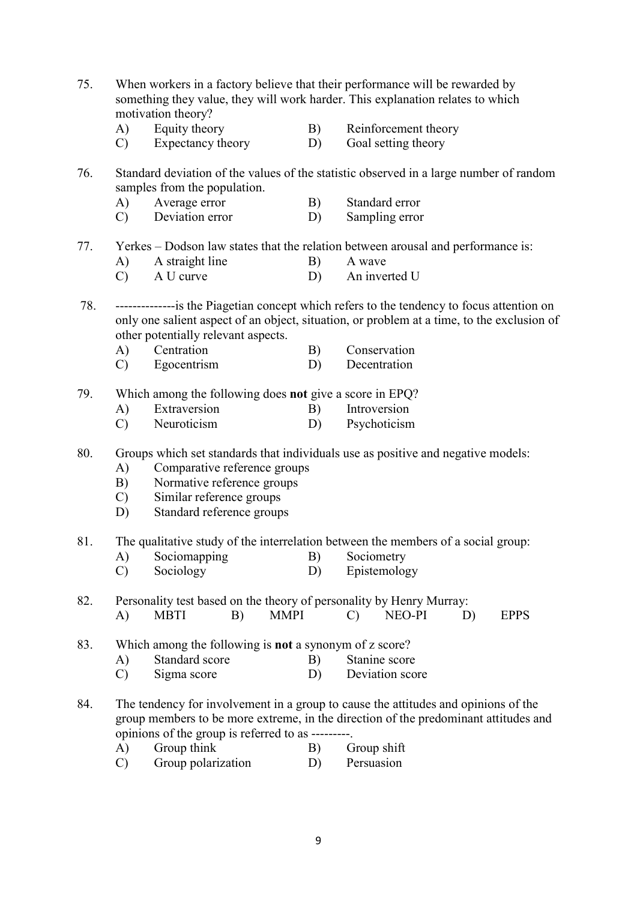75. When workers in a factory believe that their performance will be rewarded by something they value, they will work harder. This explanation relates to which motivation theory? A) Equity theory B) Reinforcement theory C) Expectancy theory D) Goal setting theory 76. Standard deviation of the values of the statistic observed in a large number of random samples from the population. A) Average error B) Standard error C) Deviation error D) Sampling error 77. Yerkes – Dodson law states that the relation between arousal and performance is: A) A straight line B) A wave C) A U curve D) An inverted U 78. --------------is the Piagetian concept which refers to the tendency to focus attention on only one salient aspect of an object, situation, or problem at a time, to the exclusion of other potentially relevant aspects. A) Centration B) Conservation C) Egocentrism D) Decentration 79. Which among the following does not give a score in EPQ? A) Extraversion B) Introversion C) Neuroticism D) Psychoticism 80. Groups which set standards that individuals use as positive and negative models: A) Comparative reference groups B) Normative reference groups C) Similar reference groups D) Standard reference groups 81. The qualitative study of the interrelation between the members of a social group: A) Sociomapping B) Sociometry C) Sociology D) Epistemology 82. Personality test based on the theory of personality by Henry Murray: A) MBTI B) MMPI C) NEO-PI D) EPPS 83. Which among the following is not a synonym of z score? A) Standard score B) Stanine score C) Sigma score D) Deviation score 84. The tendency for involvement in a group to cause the attitudes and opinions of the group members to be more extreme, in the direction of the predominant attitudes and opinions of the group is referred to as ---------. A) Group think B) Group shift C) Group polarization D) Persuasion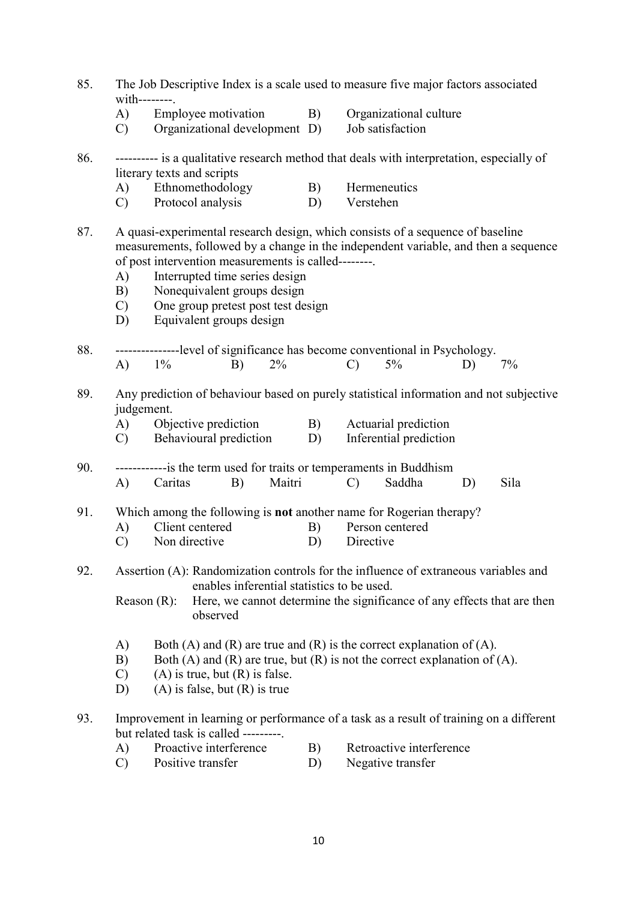- 85. The Job Descriptive Index is a scale used to measure five major factors associated with--------.
	- A) Employee motivation B) Organizational culture
	- C) Organizational development D) Job satisfaction
- 86. ---------- is a qualitative research method that deals with interpretation, especially of literary texts and scripts
	- A) Ethnomethodology B) Hermeneutics
	- C) Protocol analysis D) Verstehen
- 87. A quasi-experimental research design, which consists of a sequence of baseline measurements, followed by a change in the independent variable, and then a sequence of post intervention measurements is called--------.
	- A) Interrupted time series design
	- B) Nonequivalent groups design
	- C) One group pretest post test design
	- D) Equivalent groups design
- 88. ---------------level of significance has become conventional in Psychology.
- A) 1% B) 2% C) 5% D) 7%
- 89. Any prediction of behaviour based on purely statistical information and not subjective judgement.
	- A) Objective prediction B) Actuarial prediction
	- C) Behavioural prediction D) Inferential prediction
- 90. ------------is the term used for traits or temperaments in Buddhism A) Caritas B) Maitri C) Saddha D) Sila

91. Which among the following is not another name for Rogerian therapy?

- A) Client centered B) Person centered
- C) Non directive D) Directive
- 92. Assertion (A): Randomization controls for the influence of extraneous variables and enables inferential statistics to be used.

 Reason (R): Here, we cannot determine the significance of any effects that are then observed

- A) Both (A) and (R) are true and (R) is the correct explanation of (A).
- B) Both (A) and (R) are true, but (R) is not the correct explanation of (A).
- $(C)$  (A) is true, but  $(R)$  is false.
- D) (A) is false, but (R) is true
- 93. Improvement in learning or performance of a task as a result of training on a different but related task is called ---------.
	- A) Proactive interference B) Retroactive interference
		-
	- C) Positive transfer D) Negative transfer
		-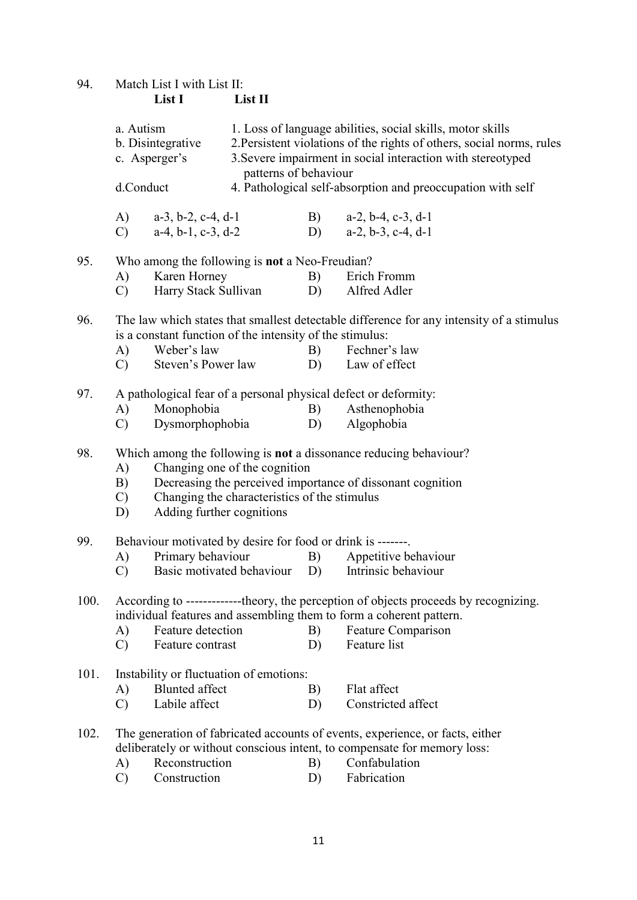94. Match List I with List II:<br>List I Li

List II

|                                                                                                                                                                                      | a. Autism<br>b. Disintegrative<br>c. Asperger's<br>d.Conduct |                                                                | patterns of behaviour                        |    | 1. Loss of language abilities, social skills, motor skills<br>2. Persistent violations of the rights of others, social norms, rules<br>3. Severe impairment in social interaction with stereotyped<br>4. Pathological self-absorption and preoccupation with self |  |  |  |  |
|--------------------------------------------------------------------------------------------------------------------------------------------------------------------------------------|--------------------------------------------------------------|----------------------------------------------------------------|----------------------------------------------|----|-------------------------------------------------------------------------------------------------------------------------------------------------------------------------------------------------------------------------------------------------------------------|--|--|--|--|
|                                                                                                                                                                                      |                                                              |                                                                |                                              |    |                                                                                                                                                                                                                                                                   |  |  |  |  |
|                                                                                                                                                                                      | A)<br>$\mathcal{C}$ )                                        | $a-3$ , $b-2$ , $c-4$ , $d-1$<br>$a-4$ , $b-1$ , $c-3$ , $d-2$ |                                              | B) | $a-2$ , $b-4$ , $c-3$ , $d-1$<br>D) $a-2, b-3, c-4, d-1$                                                                                                                                                                                                          |  |  |  |  |
| 95.                                                                                                                                                                                  | Who among the following is not a Neo-Freudian?               |                                                                |                                              |    |                                                                                                                                                                                                                                                                   |  |  |  |  |
|                                                                                                                                                                                      | Karen Horney<br>A)                                           |                                                                |                                              | B) | Erich Fromm                                                                                                                                                                                                                                                       |  |  |  |  |
|                                                                                                                                                                                      | $\mathbf{C}$                                                 | Harry Stack Sullivan                                           |                                              | D) | Alfred Adler                                                                                                                                                                                                                                                      |  |  |  |  |
| 96.                                                                                                                                                                                  |                                                              | is a constant function of the intensity of the stimulus:       |                                              |    | The law which states that smallest detectable difference for any intensity of a stimulus                                                                                                                                                                          |  |  |  |  |
|                                                                                                                                                                                      | A)                                                           | Weber's law                                                    |                                              | B) | Fechner's law                                                                                                                                                                                                                                                     |  |  |  |  |
|                                                                                                                                                                                      | Steven's Power law<br>$\mathcal{C}$ )                        |                                                                |                                              | D) | Law of effect                                                                                                                                                                                                                                                     |  |  |  |  |
| 97.                                                                                                                                                                                  |                                                              |                                                                |                                              |    | A pathological fear of a personal physical defect or deformity:                                                                                                                                                                                                   |  |  |  |  |
|                                                                                                                                                                                      | A)                                                           | Monophobia                                                     |                                              | B) | Asthenophobia                                                                                                                                                                                                                                                     |  |  |  |  |
|                                                                                                                                                                                      | $\mathcal{C}$                                                | Dysmorphophobia                                                |                                              | D) | Algophobia                                                                                                                                                                                                                                                        |  |  |  |  |
| 98.<br>Which among the following is <b>not</b> a dissonance reducing behaviour?<br>Changing one of the cognition<br>A)<br>Decreasing the perceived importance of dissonant cognition |                                                              |                                                                |                                              |    |                                                                                                                                                                                                                                                                   |  |  |  |  |
|                                                                                                                                                                                      | B)<br>$\mathcal{C}$<br>D)                                    | Adding further cognitions                                      | Changing the characteristics of the stimulus |    |                                                                                                                                                                                                                                                                   |  |  |  |  |
| 99.                                                                                                                                                                                  | Behaviour motivated by desire for food or drink is -------.  |                                                                |                                              |    |                                                                                                                                                                                                                                                                   |  |  |  |  |
|                                                                                                                                                                                      | A)                                                           | Primary behaviour                                              |                                              | B) | Appetitive behaviour                                                                                                                                                                                                                                              |  |  |  |  |
|                                                                                                                                                                                      | $\mathbf{C}$                                                 |                                                                |                                              |    | Basic motivated behaviour D) Intrinsic behaviour                                                                                                                                                                                                                  |  |  |  |  |
| 100.                                                                                                                                                                                 |                                                              |                                                                |                                              |    | According to -------------theory, the perception of objects proceeds by recognizing.<br>individual features and assembling them to form a coherent pattern.                                                                                                       |  |  |  |  |
|                                                                                                                                                                                      | A)                                                           | Feature detection                                              |                                              | B) | Feature Comparison                                                                                                                                                                                                                                                |  |  |  |  |
|                                                                                                                                                                                      | $\mathcal{C}$                                                | Feature contrast                                               |                                              | D) | Feature list                                                                                                                                                                                                                                                      |  |  |  |  |
| 101.                                                                                                                                                                                 |                                                              | Instability or fluctuation of emotions:                        |                                              |    |                                                                                                                                                                                                                                                                   |  |  |  |  |
|                                                                                                                                                                                      | A)                                                           | <b>Blunted</b> affect                                          |                                              | B) | Flat affect                                                                                                                                                                                                                                                       |  |  |  |  |
|                                                                                                                                                                                      | $\mathcal{C}$                                                | Labile affect                                                  |                                              | D) | Constricted affect                                                                                                                                                                                                                                                |  |  |  |  |
| 102.                                                                                                                                                                                 |                                                              |                                                                |                                              |    | The generation of fabricated accounts of events, experience, or facts, either<br>deliberately or without conscious intent, to compensate for memory loss:                                                                                                         |  |  |  |  |
|                                                                                                                                                                                      | A)                                                           | Reconstruction                                                 |                                              | B) | Confabulation                                                                                                                                                                                                                                                     |  |  |  |  |
|                                                                                                                                                                                      | $\mathcal{C}$                                                | Construction                                                   |                                              | D) | Fabrication                                                                                                                                                                                                                                                       |  |  |  |  |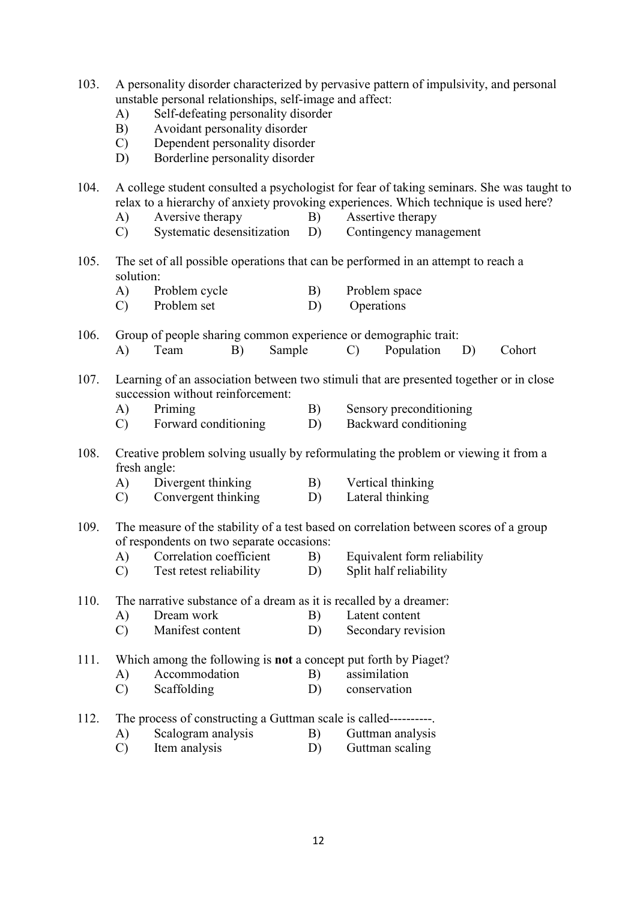- 103. A personality disorder characterized by pervasive pattern of impulsivity, and personal unstable personal relationships, self-image and affect:
	- A) Self-defeating personality disorder
	- B) Avoidant personality disorder
	- C) Dependent personality disorder
	- D) Borderline personality disorder

104. A college student consulted a psychologist for fear of taking seminars. She was taught to relax to a hierarchy of anxiety provoking experiences. Which technique is used here?

- A) Aversive therapy B) Assertive therapy
- C) Systematic desensitization D) Contingency management
- 105. The set of all possible operations that can be performed in an attempt to reach a solution:
	- A) Problem cycle B) Problem space
	- C) Problem set D) Operations

106. Group of people sharing common experience or demographic trait: A) Team B) Sample C) Population D) Cohort

- 107. Learning of an association between two stimuli that are presented together or in close succession without reinforcement:
	- A) Priming B) Sensory preconditioning
	- C) Forward conditioning D) Backward conditioning
- 108. Creative problem solving usually by reformulating the problem or viewing it from a fresh angle:
	- A) Divergent thinking B) Vertical thinking
	- C) Convergent thinking D) Lateral thinking

109. The measure of the stability of a test based on correlation between scores of a group of respondents on two separate occasions:

- A) Correlation coefficient B) Equivalent form reliability
- C) Test retest reliability D) Split half reliability
- 110. The narrative substance of a dream as it is recalled by a dreamer:
	- A) Dream work B) Latent content
	- C) Manifest content D) Secondary revision

111. Which among the following is not a concept put forth by Piaget?

- A) Accommodation B) assimilation
- C) Scaffolding D) conservation
- 112. The process of constructing a Guttman scale is called----------.
	- A) Scalogram analysis B) Guttman analysis
	- C) Item analysis D) Guttman scaling